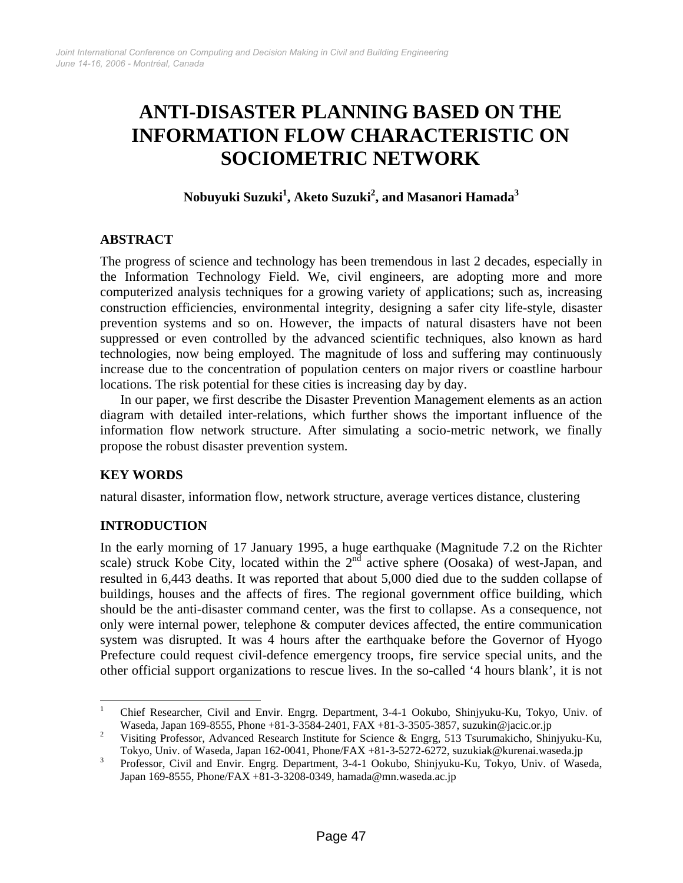# **ANTI-DISASTER PLANNING BASED ON THE INFORMATION FLOW CHARACTERISTIC ON SOCIOMETRIC NETWORK**

# **Nobuyuki Suzuk[i1](#page-0-0) , Aketo Suzuki[2](#page-0-1) , and Masanori Hamad[a3](#page-0-2)**

## **ABSTRACT**

The progress of science and technology has been tremendous in last 2 decades, especially in the Information Technology Field. We, civil engineers, are adopting more and more computerized analysis techniques for a growing variety of applications; such as, increasing construction efficiencies, environmental integrity, designing a safer city life-style, disaster prevention systems and so on. However, the impacts of natural disasters have not been suppressed or even controlled by the advanced scientific techniques, also known as hard technologies, now being employed. The magnitude of loss and suffering may continuously increase due to the concentration of population centers on major rivers or coastline harbour locations. The risk potential for these cities is increasing day by day.

In our paper, we first describe the Disaster Prevention Management elements as an action diagram with detailed inter-relations, which further shows the important influence of the information flow network structure. After simulating a socio-metric network, we finally propose the robust disaster prevention system.

# **KEY WORDS**

natural disaster, information flow, network structure, average vertices distance, clustering

# **INTRODUCTION**

In the early morning of 17 January 1995, a huge earthquake (Magnitude 7.2 on the Richter scale) struck Kobe City, located within the 2<sup>nd</sup> active sphere (Oosaka) of west-Japan, and resulted in 6,443 deaths. It was reported that about 5,000 died due to the sudden collapse of buildings, houses and the affects of fires. The regional government office building, which should be the anti-disaster command center, was the first to collapse. As a consequence, not only were internal power, telephone & computer devices affected, the entire communication system was disrupted. It was 4 hours after the earthquake before the Governor of Hyogo Prefecture could request civil-defence emergency troops, fire service special units, and the other official support organizations to rescue lives. In the so-called '4 hours blank', it is not

<span id="page-0-0"></span> $\frac{1}{1}$  Chief Researcher, Civil and Envir. Engrg. Department, 3-4-1 Ookubo, Shinjyuku-Ku, Tokyo, Univ. of Waseda, Japan 169-8555, Phone +81-3-3584-2401, FAX +81-3-3505-3857, suzukin@jacic.or.jp

<span id="page-0-1"></span>Visiting Professor, Advanced Research Institute for Science & Engrg, 513 Tsurumakicho, Shinjyuku-Ku, Tokyo, Univ. of Waseda, Japan 162-0041, Phone/FAX +81-3-5272-6272, suzukiak@kurenai.waseda.jp<br><sup>3</sup> Professor, Civil and Envir, Fnorg, Department, 3.4.1 Ookubo, Shiniyaku Ku, Tokyo, Univ. of Was

<span id="page-0-2"></span>Professor, Civil and Envir. Engrg. Department, 3-4-1 Ookubo, Shinjyuku-Ku, Tokyo, Univ. of Waseda, Japan 169-8555, Phone/FAX +81-3-3208-0349, hamada@mn.waseda.ac.jp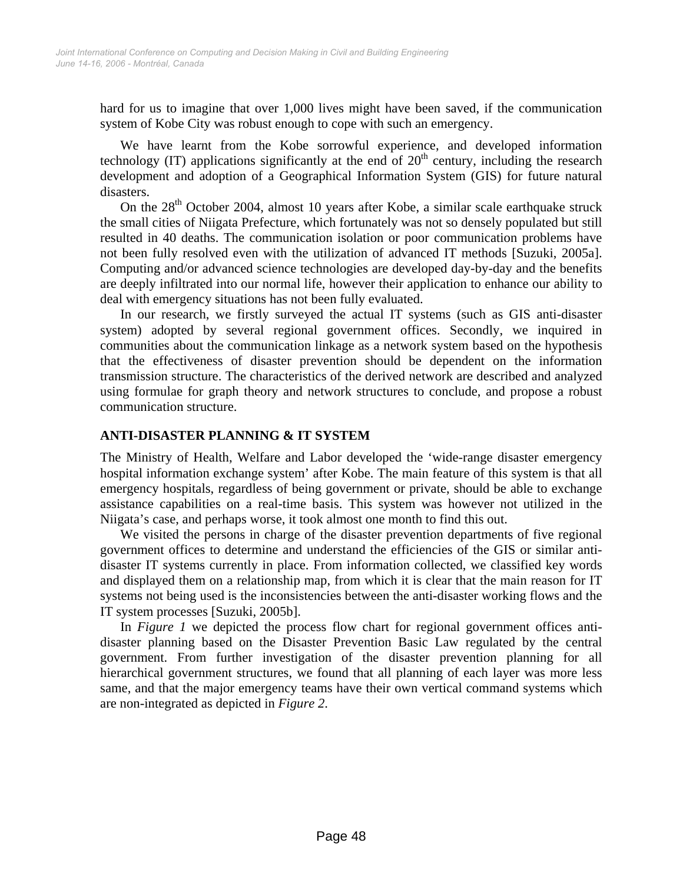hard for us to imagine that over 1,000 lives might have been saved, if the communication system of Kobe City was robust enough to cope with such an emergency.

We have learnt from the Kobe sorrowful experience, and developed information technology (IT) applications significantly at the end of  $20<sup>th</sup>$  century, including the research development and adoption of a Geographical Information System (GIS) for future natural disasters.

On the  $28<sup>th</sup>$  October 2004, almost 10 years after Kobe, a similar scale earthquake struck the small cities of Niigata Prefecture, which fortunately was not so densely populated but still resulted in 40 deaths. The communication isolation or poor communication problems have not been fully resolved even with the utilization of advanced IT methods [Suzuki, 2005a]. Computing and/or advanced science technologies are developed day-by-day and the benefits are deeply infiltrated into our normal life, however their application to enhance our ability to deal with emergency situations has not been fully evaluated.

In our research, we firstly surveyed the actual IT systems (such as GIS anti-disaster system) adopted by several regional government offices. Secondly, we inquired in communities about the communication linkage as a network system based on the hypothesis that the effectiveness of disaster prevention should be dependent on the information transmission structure. The characteristics of the derived network are described and analyzed using formulae for graph theory and network structures to conclude, and propose a robust communication structure.

## **ANTI-DISASTER PLANNING & IT SYSTEM**

The Ministry of Health, Welfare and Labor developed the 'wide-range disaster emergency hospital information exchange system' after Kobe. The main feature of this system is that all emergency hospitals, regardless of being government or private, should be able to exchange assistance capabilities on a real-time basis. This system was however not utilized in the Niigata's case, and perhaps worse, it took almost one month to find this out.

We visited the persons in charge of the disaster prevention departments of five regional government offices to determine and understand the efficiencies of the GIS or similar antidisaster IT systems currently in place. From information collected, we classified key words and displayed them on a relationship map, from which it is clear that the main reason for IT systems not being used is the inconsistencies between the anti-disaster working flows and the IT system processes [Suzuki, 2005b].

In *Figure 1* we depicted the process flow chart for regional government offices antidisaster planning based on the Disaster Prevention Basic Law regulated by the central government. From further investigation of the disaster prevention planning for all hierarchical government structures, we found that all planning of each layer was more less same, and that the major emergency teams have their own vertical command systems which are non-integrated as depicted in *Figure 2*.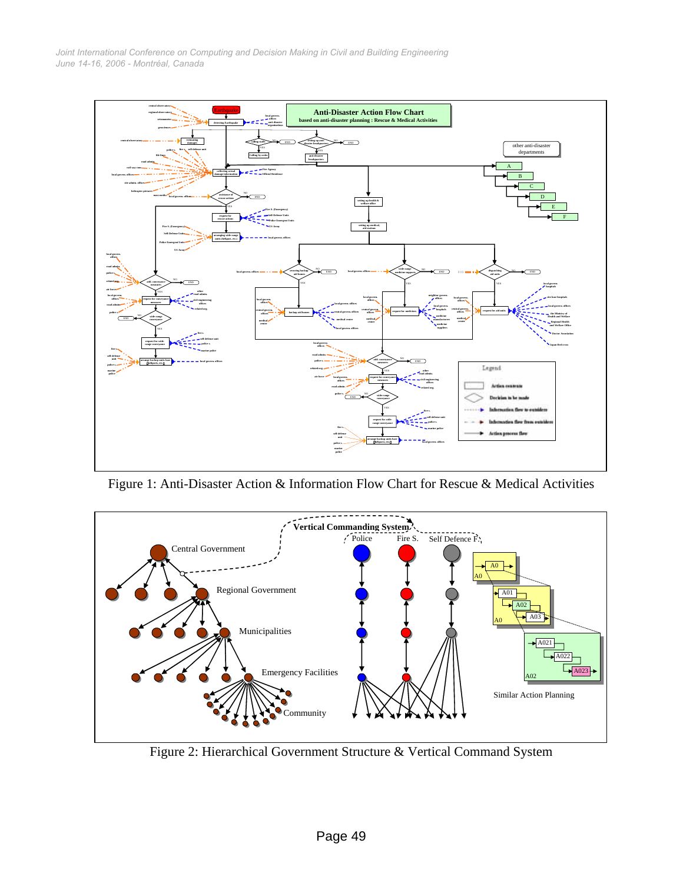*June 14-16, 2006 - Montréal, Canada Joint International Conference on Computing and Decision Making in Civil and Building Engineering*



Figure 1: Anti-Disaster Action & Information Flow Chart for Rescue & Medical Activities



Figure 2: Hierarchical Government Structure & Vertical Command System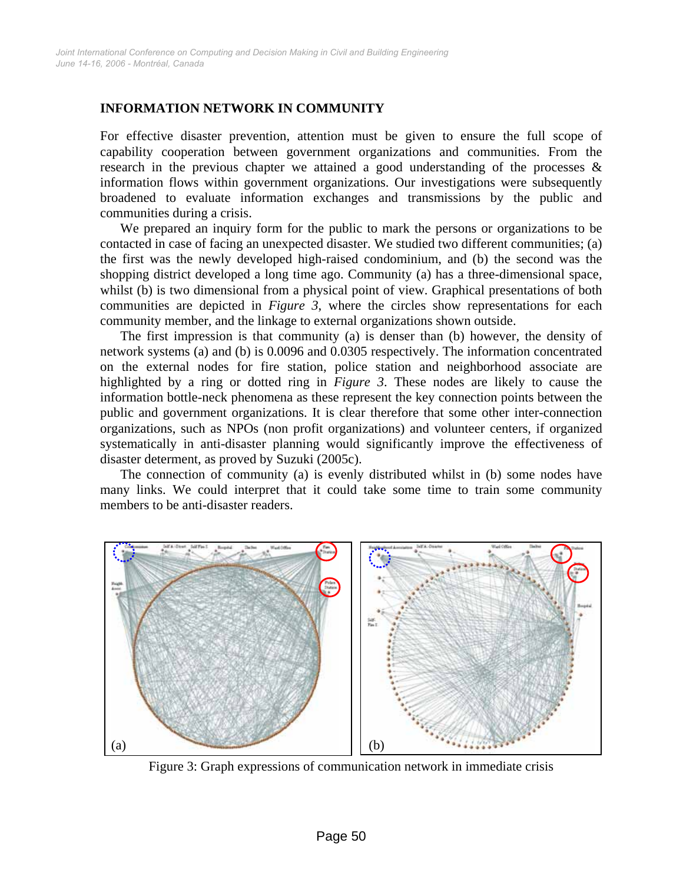## **INFORMATION NETWORK IN COMMUNITY**

For effective disaster prevention, attention must be given to ensure the full scope of capability cooperation between government organizations and communities. From the research in the previous chapter we attained a good understanding of the processes  $\&$ information flows within government organizations. Our investigations were subsequently broadened to evaluate information exchanges and transmissions by the public and communities during a crisis.

We prepared an inquiry form for the public to mark the persons or organizations to be contacted in case of facing an unexpected disaster. We studied two different communities; (a) the first was the newly developed high-raised condominium, and (b) the second was the shopping district developed a long time ago. Community (a) has a three-dimensional space, whilst (b) is two dimensional from a physical point of view. Graphical presentations of both communities are depicted in *Figure 3*, where the circles show representations for each community member, and the linkage to external organizations shown outside.

The first impression is that community (a) is denser than (b) however, the density of network systems (a) and (b) is 0.0096 and 0.0305 respectively. The information concentrated on the external nodes for fire station, police station and neighborhood associate are highlighted by a ring or dotted ring in *Figure 3*. These nodes are likely to cause the information bottle-neck phenomena as these represent the key connection points between the public and government organizations. It is clear therefore that some other inter-connection organizations, such as NPOs (non profit organizations) and volunteer centers, if organized systematically in anti-disaster planning would significantly improve the effectiveness of disaster determent, as proved by Suzuki (2005c).

The connection of community (a) is evenly distributed whilst in (b) some nodes have many links. We could interpret that it could take some time to train some community members to be anti-disaster readers.



Figure 3: Graph expressions of communication network in immediate crisis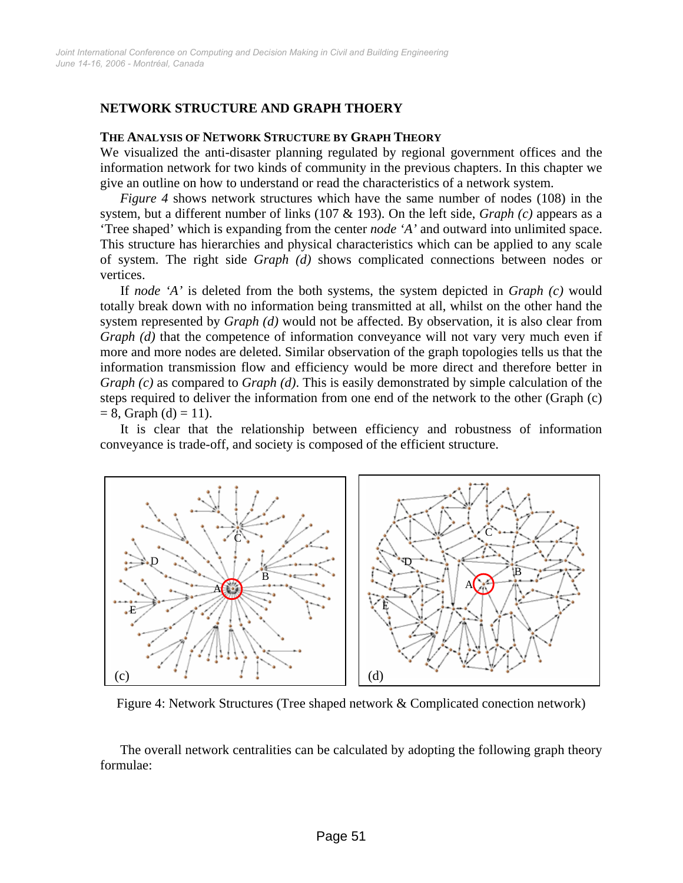## **NETWORK STRUCTURE AND GRAPH THOERY**

#### **THE ANALYSIS OF NETWORK STRUCTURE BY GRAPH THEORY**

We visualized the anti-disaster planning regulated by regional government offices and the information network for two kinds of community in the previous chapters. In this chapter we give an outline on how to understand or read the characteristics of a network system.

*Figure 4* shows network structures which have the same number of nodes (108) in the system, but a different number of links (107 & 193). On the left side, *Graph (c)* appears as a 'Tree shaped' which is expanding from the center *node 'A'* and outward into unlimited space. This structure has hierarchies and physical characteristics which can be applied to any scale of system. The right side *Graph (d)* shows complicated connections between nodes or vertices.

If *node 'A'* is deleted from the both systems, the system depicted in *Graph (c)* would totally break down with no information being transmitted at all, whilst on the other hand the system represented by *Graph (d)* would not be affected. By observation, it is also clear from *Graph (d)* that the competence of information conveyance will not vary very much even if more and more nodes are deleted. Similar observation of the graph topologies tells us that the information transmission flow and efficiency would be more direct and therefore better in *Graph (c)* as compared to *Graph (d)*. This is easily demonstrated by simple calculation of the steps required to deliver the information from one end of the network to the other (Graph (c)  $= 8$ , Graph (d)  $= 11$ ).

It is clear that the relationship between efficiency and robustness of information conveyance is trade-off, and society is composed of the efficient structure.



Figure 4: Network Structures (Tree shaped network & Complicated conection network)

The overall network centralities can be calculated by adopting the following graph theory formulae: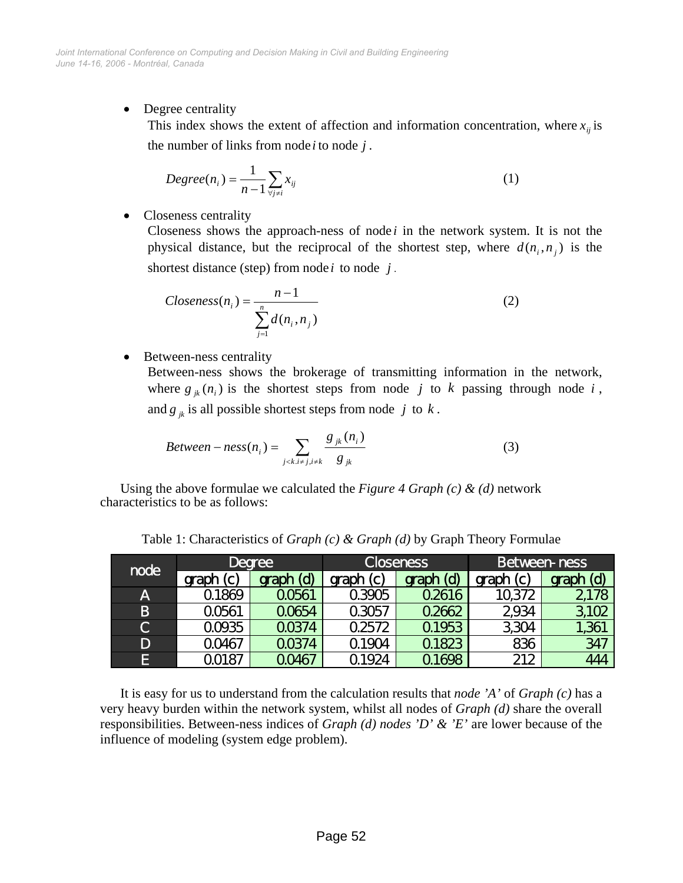• Degree centrality

This index shows the extent of affection and information concentration, where  $x_{ij}$  is the number of links from node *i* to node *j*.

$$
Degree(n_i) = \frac{1}{n-1} \sum_{\forall j \neq i} x_{ij}
$$
 (1)

• Closeness centrality

Closeness shows the approach-ness of node  $i$  in the network system. It is not the physical distance, but the reciprocal of the shortest step, where  $d(n_i, n_j)$  is the shortest distance (step) from node  $i$  to node  $j$ .

$$
Closeness(n_i) = \frac{n-1}{\sum_{j=1}^{n} d(n_i, n_j)}
$$
(2)

• Between-ness centrality

Between-ness shows the brokerage of transmitting information in the network, where  $g_{jk}(n_i)$  is the shortest steps from node *j* to *k* passing through node *i*, and  $g_{jk}$  is all possible shortest steps from node j to  $k$ .

$$
Between-ness(n_i) = \sum_{j < k, i \neq j, i \neq k} \frac{g_{jk}(n_i)}{g_{jk}} \tag{3}
$$

Using the above formulae we calculated the *Figure 4 Graph (c) & (d)* network characteristics to be as follows:

| node        | <b>Degree</b>         |           | <b>Closeness</b> |                     | Between-ness |           |
|-------------|-----------------------|-----------|------------------|---------------------|--------------|-----------|
|             | $\mathbf{C}$<br>graph | graph (d) | graph(c)         | <u>(d)</u><br>graph | graph (c)    | graph (d) |
| Α           | 01869                 | 00561     | 03905            | 02616               | 10,372       | 2178      |
| B           | 20561                 | 00654     | 03057            | 02662               | 2934         | 3,102     |
| $\mathbf C$ | 00935                 | QO374     | 02572            | 01953               | 3,304        | 1,361     |
| D           | 00467                 | QO374     | 01904            | 01823               | 836          | 347       |
| ß           | 20187                 | 0046,     | 924              | 01698               | 212          | 444       |

Table 1: Characteristics of *Graph (c) & Graph (d)* by Graph Theory Formulae

It is easy for us to understand from the calculation results that *node 'A'* of *Graph (c)* has a very heavy burden within the network system, whilst all nodes of *Graph (d)* share the overall responsibilities. Between-ness indices of *Graph (d) nodes 'D' & 'E'* are lower because of the influence of modeling (system edge problem).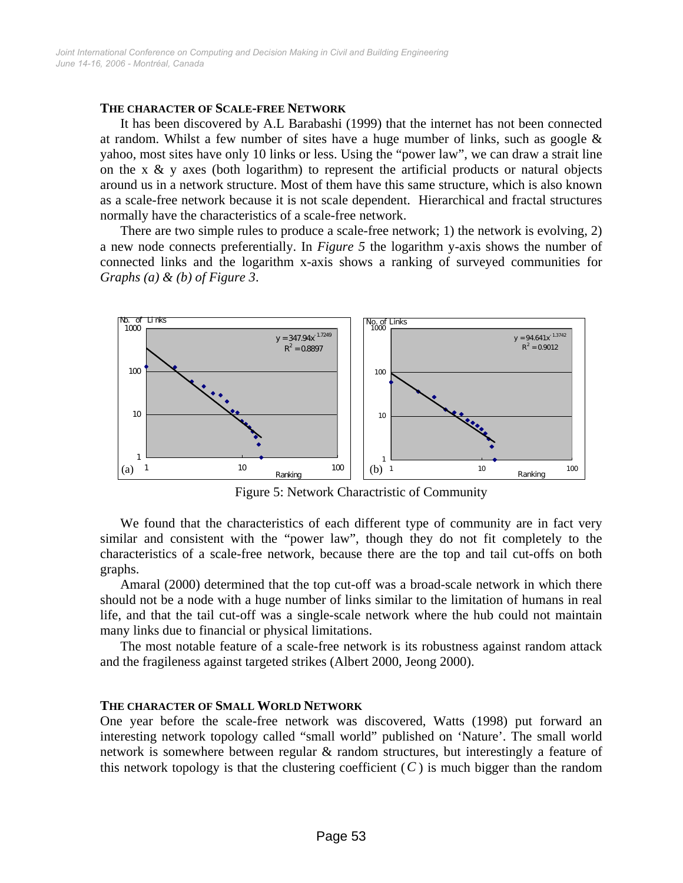#### **THE CHARACTER OF SCALE-FREE NETWORK**

It has been discovered by A.L Barabashi (1999) that the internet has not been connected at random. Whilst a few number of sites have a huge mumber of links, such as google  $\&$ yahoo, most sites have only 10 links or less. Using the "power law", we can draw a strait line on the x  $\&$  y axes (both logarithm) to represent the artificial products or natural objects around us in a network structure. Most of them have this same structure, which is also known as a scale-free network because it is not scale dependent. Hierarchical and fractal structures normally have the characteristics of a scale-free network.

There are two simple rules to produce a scale-free network; 1) the network is evolving, 2) a new node connects preferentially. In *Figure 5* the logarithm y-axis shows the number of connected links and the logarithm x-axis shows a ranking of surveyed communities for *Graphs (a) & (b) of Figure 3*.



Figure 5: Network Charactristic of Community

We found that the characteristics of each different type of community are in fact very similar and consistent with the "power law", though they do not fit completely to the characteristics of a scale-free network, because there are the top and tail cut-offs on both graphs.

Amaral (2000) determined that the top cut-off was a broad-scale network in which there should not be a node with a huge number of links similar to the limitation of humans in real life, and that the tail cut-off was a single-scale network where the hub could not maintain many links due to financial or physical limitations.

The most notable feature of a scale-free network is its robustness against random attack and the fragileness against targeted strikes (Albert 2000, Jeong 2000).

#### **THE CHARACTER OF SMALL WORLD NETWORK**

One year before the scale-free network was discovered, Watts (1998) put forward an interesting network topology called "small world" published on 'Nature'. The small world network is somewhere between regular  $\&$  random structures, but interestingly a feature of this network topology is that the clustering coefficient  $(C)$  is much bigger than the random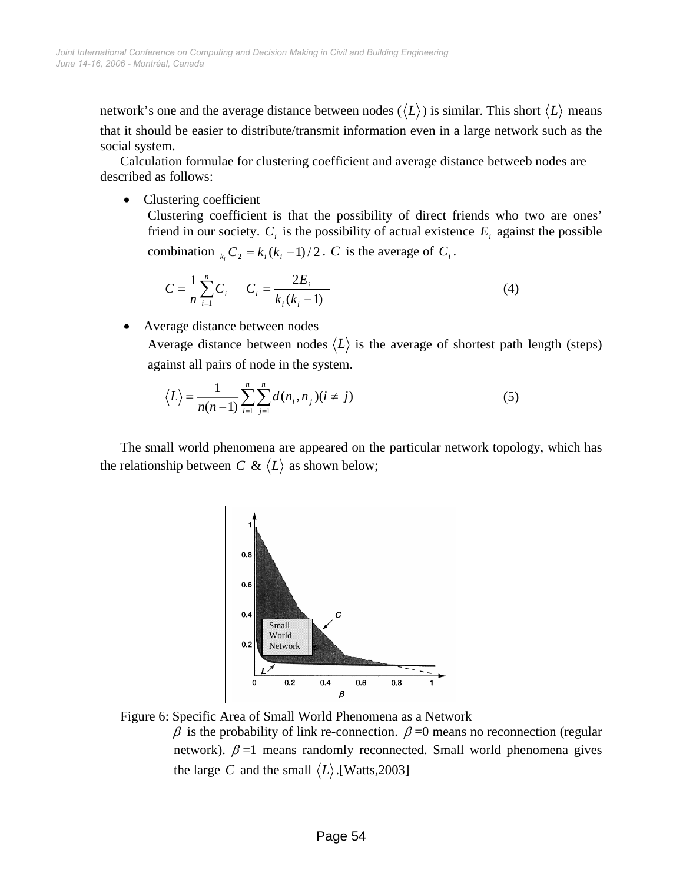network's one and the average distance between nodes  $(\langle L \rangle)$  is similar. This short  $\langle L \rangle$  means that it should be easier to distribute/transmit information even in a large network such as the social system.

Calculation formulae for clustering coefficient and average distance betweeb nodes are described as follows:

• Clustering coefficient

Clustering coefficient is that the possibility of direct friends who two are ones' friend in our society.  $C_i$  is the possibility of actual existence  $E_i$  against the possible combination  $_{k_i}C_2 = k_i(k_i - 1)/2$ . *C* is the average of  $C_i$ .

$$
C = \frac{1}{n} \sum_{i=1}^{n} C_i \qquad C_i = \frac{2E_i}{k_i(k_i - 1)}
$$
(4)

Average distance between nodes

Average distance between nodes  $\langle L \rangle$  is the average of shortest path length (steps) against all pairs of node in the system.

$$
\langle L \rangle = \frac{1}{n(n-1)} \sum_{i=1}^{n} \sum_{j=1}^{n} d(n_i, n_j)(i \neq j)
$$
 (5)

The small world phenomena are appeared on the particular network topology, which has the relationship between *C* &  $\langle L \rangle$  as shown below;



Figure 6: Specific Area of Small World Phenomena as a Network  $β$  is the probability of link re-connection.  $β = 0$  means no reconnection (regular network).  $\beta$  =1 means randomly reconnected. Small world phenomena gives the large *C* and the small  $\langle L \rangle$ .[Watts,2003]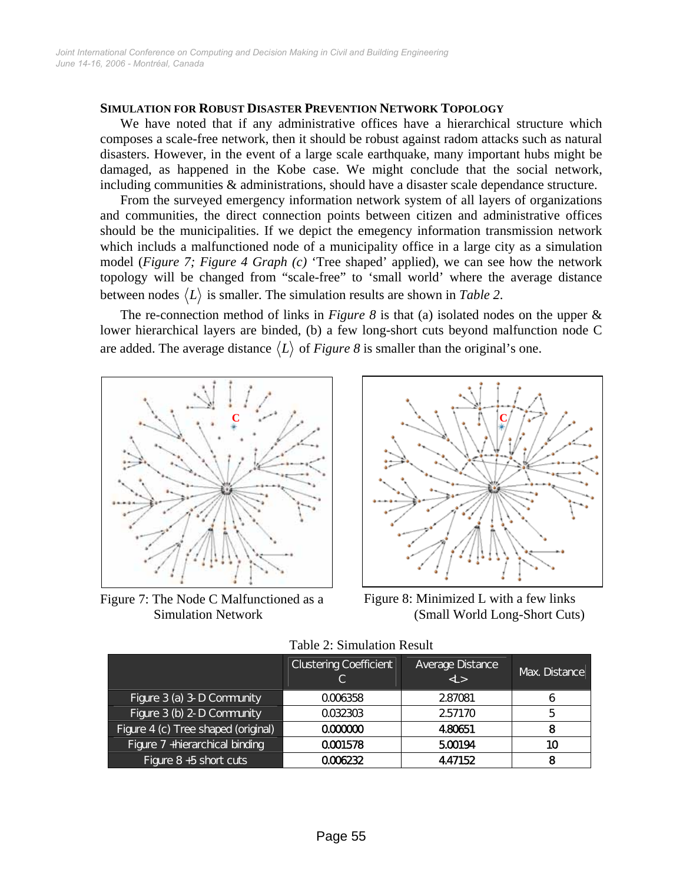#### **SIMULATION FOR ROBUST DISASTER PREVENTION NETWORK TOPOLOGY**

We have noted that if any administrative offices have a hierarchical structure which composes a scale-free network, then it should be robust against radom attacks such as natural disasters. However, in the event of a large scale earthquake, many important hubs might be damaged, as happened in the Kobe case. We might conclude that the social network, including communities & administrations, should have a disaster scale dependance structure.

From the surveyed emergency information network system of all layers of organizations and communities, the direct connection points between citizen and administrative offices should be the municipalities. If we depict the emegency information transmission network which includs a malfunctioned node of a municipality office in a large city as a simulation model (*Figure 7; Figure 4 Graph (c)* 'Tree shaped' applied), we can see how the network topology will be changed from "scale-free" to 'small world' where the average distance between nodes  $\langle L \rangle$  is smaller. The simulation results are shown in *Table 2*.

The re-connection method of links in *Figure 8* is that (a) isolated nodes on the upper & lower hierarchical layers are binded, (b) a few long-short cuts beyond malfunction node C are added. The average distance  $\langle L \rangle$  of *Figure 8* is smaller than the original's one.



Figure 7: The Node C Malfunctioned as a



Figure 8: Minimized L with a few links Simulation Network (Small World Long-Short Cuts)

|                                     | <b>Clustering Coefficient</b> | Average Distance<br>d > | Max. Distance |
|-------------------------------------|-------------------------------|-------------------------|---------------|
| Figure 3 (a) 3-D Community          | 0006358                       | 287081                  | O             |
| Figure 3 (b) 2-D Community          | റന്ദാദന്ദ                     | 257170                  | 5             |
| Figure 4 (c) Tree shaped (original) | റന്നന                         | 480651                  | 8             |
| Figure 7 +hierarchical binding      | 0001578                       | 500194                  | 10            |
| Figure 8+5 short cuts               | റന്ദാന                        | 4.47152                 | я             |

Table 2: Simulation Result